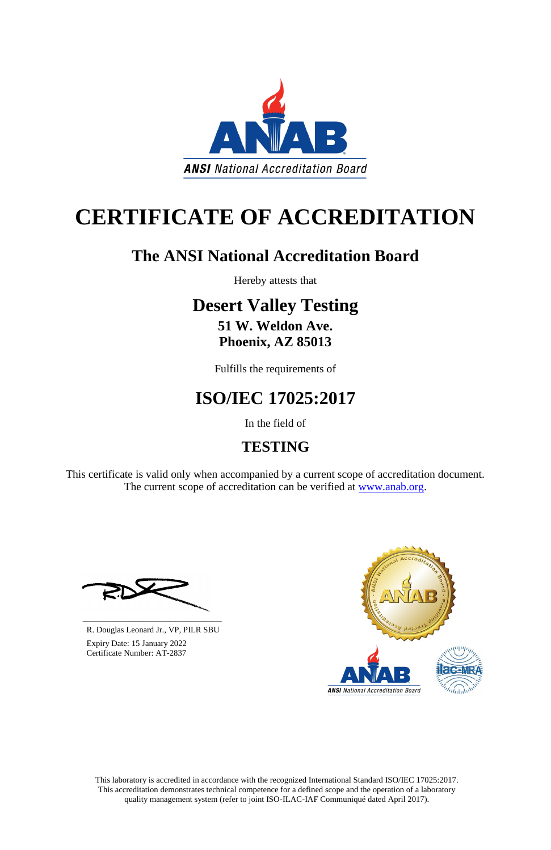This laboratory is accredited in accordance with the recognized International Standard ISO/IEC 17025:2017. This accreditation demonstrates technical competence for a defined scope and the operation of a laboratory quality management system (refer to joint ISO-ILAC-IAF Communiqué dated April 2017).

This certificate is valid only when accompanied by a current scope of accreditation document. The current scope of accreditation can be verified at [www.anab.org.](http://www.anab.org/)



# **CERTIFICATE OF ACCREDITATION**

## **The ANSI National Accreditation Board**

Hereby attests that

### **Desert Valley Testing 51 W. Weldon Ave.**

## **Phoenix, AZ 85013**

Fulfills the requirements of

## **ISO/IEC 17025:2017**

In the field of

## **TESTING**





R. Douglas Leonard Jr., VP, PILR SBU

 Expiry Date: 15 January 2022 Certificate Number: AT-2837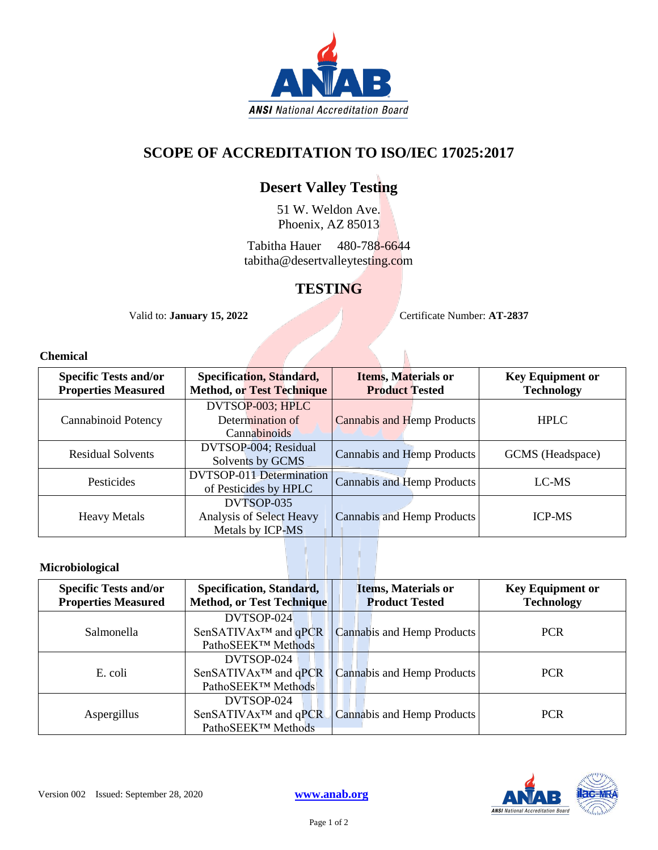

#### **SCOPE OF ACCREDITATION TO ISO/IEC 17025:2017**

#### **Desert Valley Testing**

51 W. Weldon Ave. Phoenix, AZ 85013

Tabitha Hauer 480-788-6644 tabitha@desertvalleytesting.com

#### **TESTING**

Valid to: **January 15, 2022** Certificate Number: **AT-2837**

#### **Chemical**

| <b>Specific Tests and/or</b><br><b>Properties Measured</b> | Specification, Standard,<br><b>Method, or Test Technique</b> | <b>Items, Materials or</b><br><b>Product Tested</b> | <b>Key Equipment or</b><br><b>Technology</b> |
|------------------------------------------------------------|--------------------------------------------------------------|-----------------------------------------------------|----------------------------------------------|
| Cannabinoid Potency                                        | DVTSOP-003; HPLC<br>Determination of<br>Cannabinoids         | <b>Cannabis and Hemp Products</b>                   | <b>HPLC</b>                                  |
| <b>Residual Solvents</b>                                   | DVTSOP-004; Residual<br>Solvents by GCMS                     | Cannabis and Hemp Products                          | GCMS (Headspace)                             |
| Pesticides                                                 | <b>DVTSOP-011 Determination</b><br>of Pesticides by HPLC     | Cannabis and Hemp Products                          | LC-MS                                        |
| <b>Heavy Metals</b>                                        | DVTSOP-035<br>Analysis of Select Heavy<br>Metals by ICP-MS   | Cannabis and Hemp Products                          | <b>ICP-MS</b>                                |

#### **Microbiological**

| <b>Specific Tests and/or</b><br><b>Properties Measured</b> | <b>Specification, Standard,</b><br><b>Method, or Test Technique</b>              | <b>Items, Materials or</b><br><b>Product Tested</b> | <b>Key Equipment or</b><br><b>Technology</b> |
|------------------------------------------------------------|----------------------------------------------------------------------------------|-----------------------------------------------------|----------------------------------------------|
| <b>Salmonella</b>                                          | DVTSOP-024<br>SenSATIVAx <sup>™</sup> and qPCR<br>PathoSEEK <sup>™</sup> Methods | Cannabis and Hemp Products                          | <b>PCR</b>                                   |
| E. coli                                                    | DVTSOP-024<br>$SenSATIVAx^{TM}$ and $qPCR$<br>PathoSEEK <sup>™</sup> Methods     | Cannabis and Hemp Products                          | <b>PCR</b>                                   |
| Aspergillus                                                | DVTSOP-024<br>SenSATIVAx <sup>™</sup> and qPCR<br>PathoSEEK <sup>™</sup> Methods | Cannabis and Hemp Products                          | <b>PCR</b>                                   |